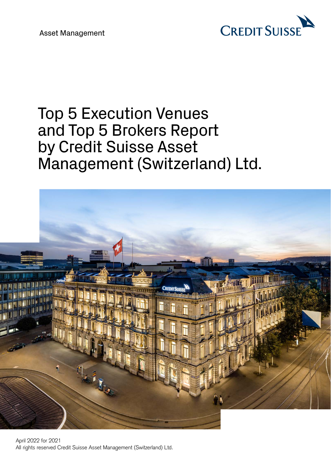



# Top 5 Execution Venues and Top 5 Brokers Report by Credit Suisse Asset Management (Switzerland) Ltd.

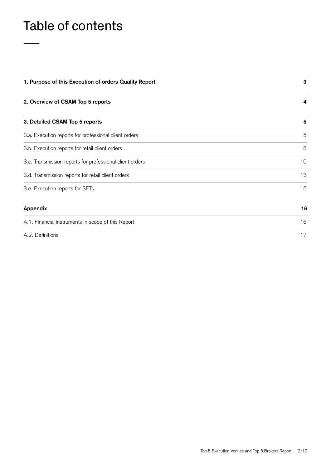## Table of contents

| 1. Purpose of this Execution of orders Quality Report    | $\mathbf 3$ |
|----------------------------------------------------------|-------------|
| 2. Overview of CSAM Top 5 reports                        | 4           |
| 3. Detailed CSAM Top 5 reports                           | 5           |
| 3.a. Execution reports for professional client orders    | 5           |
| 3.b. Execution reports for retail client orders          | 8           |
| 3.c. Transmission reports for professional client orders | 10          |
| 3.d. Transmission reports for retail client orders       | 13          |
| 3.e. Execution reports for SFTs                          | 15          |
| Appendix                                                 | 16          |
| A.1. Financial instruments in scope of this Report       | 16          |
| A.2. Definitions                                         | 17          |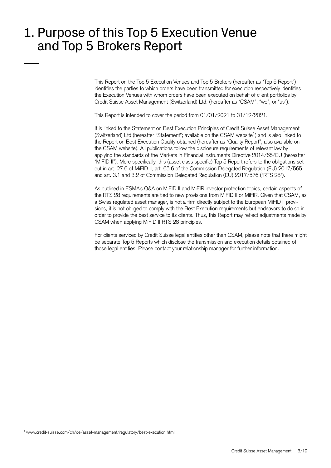### <span id="page-2-0"></span>1. Purpose of this Top 5 Execution Venue and Top 5 Brokers Report

This Report on the Top 5 Execution Venues and Top 5 Brokers (hereafter as "Top 5 Report") identifies the parties to which orders have been transmitted for execution respectively identifies the Execution Venues with whom orders have been executed on behalf of client portfolios by Credit Suisse Asset Management (Switzerland) Ltd. (hereafter as "CSAM", "we", or "us").

This Report is intended to cover the period from 01/01/2021 to 31/12/2021.

It is linked to the Statement on Best Execution Principles of Credit Suisse Asset Management (Switzerland) Ltd (hereafter "Statement"; available on the CSAM website<sup>1</sup>) and is also linked to the Report on Best Execution Quality obtained (hereafter as "Quality Report", also available on the CSAM website). All publications follow the disclosure requirements of relevant law by applying the standards of the Markets in Financial Instruments Directive 2014/65/EU (hereafter "MiFID II"). More specifically, this (asset class specific) Top 5 Report refers to the obligations set out in art. 27.6 of MiFID II, art. 65.6 of the Commission Delegated Regulation (EU) 2017/565 and art. 3.1 and 3.2 of Commission Delegated Regulation (EU) 2017/576 ("RTS 28").

As outlined in ESMA's Q&A on MiFID II and MiFIR investor protection topics, certain aspects of the RTS 28 requirements are tied to new provisions from MiFID II or MiFIR. Given that CSAM, as a Swiss regulated asset manager, is not a firm directly subject to the European MiFID II provisions, it is not obliged to comply with the Best Execution requirements but endeavors to do so in order to provide the best service to its clients. Thus, this Report may reflect adjustments made by CSAM when applying MiFID II RTS 28 principles.

For clients serviced by Credit Suisse legal entities other than CSAM, please note that there might be separate Top 5 Reports which disclose the transmission and execution details obtained of those legal entities. Please contact your relationship manager for further information.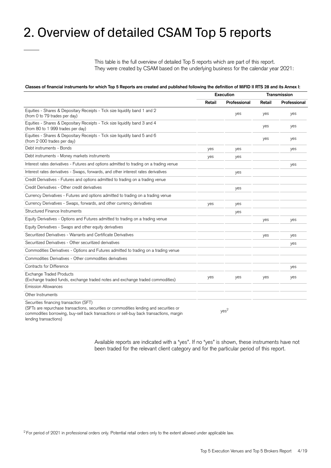### <span id="page-3-0"></span>2. Overview of detailed CSAM Top 5 reports

This table is the full overview of detailed Top 5 reports which are part of this report. They were created by CSAM based on the underlying business for the calendar year 2021:

| Classes of financial instruments for which Top 5 Reports are created and published following the definition of MiFID II RTS 28 and its Annex I: |  |  |  |
|-------------------------------------------------------------------------------------------------------------------------------------------------|--|--|--|
|-------------------------------------------------------------------------------------------------------------------------------------------------|--|--|--|

|                                                                                                                                                                                                                             | Execution |                  | <b>Transmission</b> |              |
|-----------------------------------------------------------------------------------------------------------------------------------------------------------------------------------------------------------------------------|-----------|------------------|---------------------|--------------|
|                                                                                                                                                                                                                             | Retail    | Professional     | Retail              | Professional |
| Equities - Shares & Depositary Receipts - Tick size liquidity band 1 and 2<br>(from 0 to 79 trades per day)                                                                                                                 |           | yes              | yes                 | yes          |
| Equities - Shares & Depositary Receipts - Tick size liquidity band 3 and 4<br>(from 80 to 1 999 trades per day)                                                                                                             |           |                  | yes                 | yes          |
| Equities - Shares & Depositary Receipts - Tick size liquidity band 5 and 6<br>(from 2 000 trades per day)                                                                                                                   |           |                  | yes                 | yes          |
| Debt instruments - Bonds                                                                                                                                                                                                    | yes       | yes              |                     | yes          |
| Debt instruments - Money markets instruments                                                                                                                                                                                | yes       | yes              |                     |              |
| Interest rates derivatives - Futures and options admitted to trading on a trading venue                                                                                                                                     |           |                  |                     | yes          |
| Interest rates derivatives - Swaps, forwards, and other interest rates derivatives                                                                                                                                          |           | yes              |                     |              |
| Credit Derivatives - Futures and options admitted to trading on a trading venue                                                                                                                                             |           |                  |                     |              |
| Credit Derivatives - Other credit derivatives                                                                                                                                                                               |           | yes              |                     |              |
| Currency Derivatives - Futures and options admitted to trading on a trading venue                                                                                                                                           |           |                  |                     |              |
| Currency Derivatives - Swaps, forwards, and other currency derivatives                                                                                                                                                      | yes       | yes              |                     |              |
| Structured Finance Instruments                                                                                                                                                                                              |           | yes              |                     |              |
| Equity Derivatives - Options and Futures admitted to trading on a trading venue                                                                                                                                             |           |                  | yes                 | yes          |
| Equity Derivatives - Swaps and other equity derivatives                                                                                                                                                                     |           |                  |                     |              |
| Securitized Derivatives - Warrants and Certificate Derivatives                                                                                                                                                              |           |                  | yes                 | yes          |
| Securitized Derivatives - Other securitized derivatives                                                                                                                                                                     |           |                  |                     | yes          |
| Commodities Derivatives - Options and Futures admitted to trading on a trading venue                                                                                                                                        |           |                  |                     |              |
| Commodities Derivatives - Other commodities derivatives                                                                                                                                                                     |           |                  |                     |              |
| <b>Contracts for Difference</b>                                                                                                                                                                                             |           |                  |                     | yes          |
| <b>Exchange Traded Products</b><br>(Exchange traded funds, exchange traded notes and exchange traded commodities)                                                                                                           | yes       | yes              | yes                 | yes          |
| <b>Emission Allowances</b>                                                                                                                                                                                                  |           |                  |                     |              |
| Other Instruments                                                                                                                                                                                                           |           |                  |                     |              |
| Securities financing transaction (SFT)<br>(SFTs are repurchase transactions, securities or commodities lending and securities or<br>commodities borrowing, buy-sell back transactions or sell-buy back transactions, margin |           | yes <sup>2</sup> |                     |              |

lending transactions)

Available reports are indicated with a "yes". If no "yes" is shown, these instruments have not been traded for the relevant client category and for the particular period of this report.

 $2$  For period of 2021 in professional orders only. Potential retail orders only to the extent allowed under applicable law.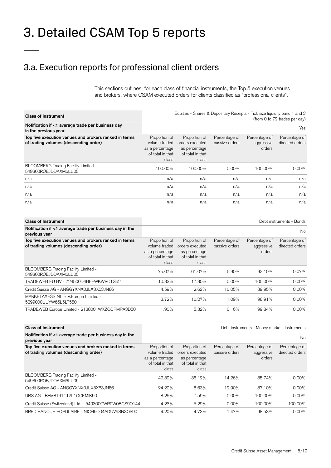## <span id="page-4-0"></span>3. Detailed CSAM Top 5 reports

#### 3.a. Execution reports for professional client orders

This sections outlines, for each class of financial instruments, the Top 5 execution venues and brokers, where CSAM executed orders for clients classified as "professional clients".

| <b>Class of Instrument</b>                                                                     | Equities - Shares & Depositary Receipts - Tick size liquidity band 1 and 2<br>(from 0 to 79 trades per day) |                                                                                |                                 |                                       |                                  |
|------------------------------------------------------------------------------------------------|-------------------------------------------------------------------------------------------------------------|--------------------------------------------------------------------------------|---------------------------------|---------------------------------------|----------------------------------|
| Notification if <1 average trade per business day<br>in the previous year                      |                                                                                                             |                                                                                |                                 |                                       | Yes                              |
| Top five execution venues and brokers ranked in terms<br>of trading volumes (descending order) | Proportion of<br>volume traded<br>as a percentage<br>of total in that<br>class                              | Proportion of<br>orders executed<br>as percentage<br>of total in that<br>class | Percentage of<br>passive orders | Percentage of<br>aggressive<br>orders | Percentage of<br>directed orders |
| BLOOMBERG Trading Facility Limited -<br>549300ROEJDDAXM6LU05                                   | 100.00%                                                                                                     | 100.00%                                                                        | $0.00\%$                        | 100.00%                               | $0.00\%$                         |
| n/a                                                                                            | n/a                                                                                                         | n/a                                                                            | n/a                             | n/a                                   | n/a                              |
| n/a                                                                                            | n/a                                                                                                         | n/a                                                                            | n/a                             | n/a                                   | n/a                              |
| n/a                                                                                            | n/a                                                                                                         | n/a                                                                            | n/a                             | n/a                                   | n/a                              |
| n/a                                                                                            | n/a                                                                                                         | n/a                                                                            | n/a                             | n/a                                   | n/a                              |

| <b>Class of Instrument</b>                                                                     |                                                                                |                                                                                |                                 |                                       | Debt instruments - Bonds         |
|------------------------------------------------------------------------------------------------|--------------------------------------------------------------------------------|--------------------------------------------------------------------------------|---------------------------------|---------------------------------------|----------------------------------|
| Notification if <1 average trade per business day in the<br>previous year                      |                                                                                |                                                                                |                                 |                                       | No                               |
| Top five execution venues and brokers ranked in terms<br>of trading volumes (descending order) | Proportion of<br>volume traded<br>as a percentage<br>of total in that<br>class | Proportion of<br>orders executed<br>as percentage<br>of total in that<br>class | Percentage of<br>passive orders | Percentage of<br>aggressive<br>orders | Percentage of<br>directed orders |
| BLOOMBERG Trading Facility Limited -<br>549300ROEJDDAXM6LU05                                   | 75.07%                                                                         | 61.07%                                                                         | 6.90%                           | 93.10%                                | $0.07\%$                         |
| TRADEWEB EU BV - 724500D4BFEWKWVC1G62                                                          | 10.33%                                                                         | 17.80%                                                                         | $0.00\%$                        | 100.00%                               | $0.00\%$                         |
| Credit Suisse AG - ANGGYXNX0JLX3X63JN86                                                        | 4.59%                                                                          | 2.62%                                                                          | 10.05%                          | 89.95%                                | $0.00\%$                         |
| MARKETAXESS NL B.V.Europe Limited -<br>5299000UUYW66L5LT560                                    | 3.72%                                                                          | 10.27%                                                                         | 1.09%                           | 98.91%                                | $0.00\%$                         |
| TRADEWEB Europe Limited - 2138001WXZQOPMPA3D50                                                 | .90%                                                                           | 5.32%                                                                          | 0.16%                           | 99.84%                                | $0.00\%$                         |

| <b>Class of Instrument</b>                                                                     | Debt instruments - Money markets instruments                                   |                                                                                |                                 |                                       |                                  |
|------------------------------------------------------------------------------------------------|--------------------------------------------------------------------------------|--------------------------------------------------------------------------------|---------------------------------|---------------------------------------|----------------------------------|
| Notification if <1 average trade per business day in the<br>previous year                      |                                                                                |                                                                                |                                 |                                       | N <sub>o</sub>                   |
| Top five execution venues and brokers ranked in terms<br>of trading volumes (descending order) | Proportion of<br>volume traded<br>as a percentage<br>of total in that<br>class | Proportion of<br>orders executed<br>as percentage<br>of total in that<br>class | Percentage of<br>passive orders | Percentage of<br>aggressive<br>orders | Percentage of<br>directed orders |
| BLOOMBERG Trading Facility Limited -<br>549300ROEJDDAXM6LU05                                   | 42.39%                                                                         | 36.12%                                                                         | 14.26%                          | 85.74%                                | $0.00\%$                         |
| Credit Suisse AG - ANGGYXNX0JLX3X63JN86                                                        | 24.20%                                                                         | 8.63%                                                                          | 12.90%                          | 87.10%                                | $0.00\%$                         |
| UBS AG - BFM8T61CT2L1QCEMIK50                                                                  | 8.25%                                                                          | 7.59%                                                                          | $0.00\%$                        | 100.00%                               | $0.00\%$                         |
| Credit Suisse (Switzerland) Ltd. - 549300CWR0W0BCS9Q144                                        | 4.23%                                                                          | 5.29%                                                                          | $0.00\%$                        | 100.00%                               | 100.00%                          |
| BRED BANQUE POPULAIRE - NICH5Q04ADUV9SN3Q390                                                   | 4.20%                                                                          | 4.73%                                                                          | 1.47%                           | 98.53%                                | $0.00\%$                         |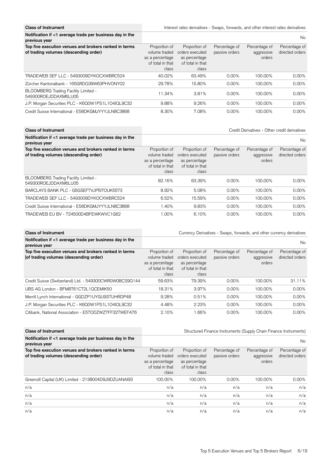**Class of Instrument Interest rates derivatives - Swaps**, forwards, and other interest rates derivatives **Notification if <1 average trade per business day in the previous year** No **Top five execution venues and brokers ranked in terms of trading volumes (descending order)**  Proportion of volume traded orders executed Proportion of Percentage of passive orders Percentage of aggressive directed orders Percentage of

|                                                              | as a percentage<br>of total in that<br>class | as percentage<br>of total in that<br>class |          | orders  |          |
|--------------------------------------------------------------|----------------------------------------------|--------------------------------------------|----------|---------|----------|
| TRADEWEB SEF LLC - 5493009DYKOCXWBRC524                      | 40.02%                                       | 63.49%                                     | $0.00\%$ | 100.00% | $0.00\%$ |
| Zürcher Kantonalbank - 165GRDQ39W63PHVONY02                  | 29.78%                                       | 15.80%                                     | $0.00\%$ | 100.00% | $0.00\%$ |
| BLOOMBERG Trading Facility Limited -<br>549300ROEJDDAXM6LU05 | 11.34%                                       | 3.81%                                      | $0.00\%$ | 100.00% | $0.00\%$ |
| J.P. Morgan Securities PLC - K6Q0W1PS1L1O4IQL9C32            | 9.88%                                        | 9.26%                                      | $0.00\%$ | 100.00% | $0.00\%$ |
| Credit Suisse International - E58DKGMJYYYJLN8C3868           | 8.30%                                        | 7.08%                                      | $0.00\%$ | 100.00% | $0.00\%$ |

| <b>Class of Instrument</b>                                                                     | Credit Derivatives - Other credit derivatives                                  |                                                                                |                                 |                                       |                                  |
|------------------------------------------------------------------------------------------------|--------------------------------------------------------------------------------|--------------------------------------------------------------------------------|---------------------------------|---------------------------------------|----------------------------------|
| Notification if <1 average trade per business day in the<br>previous year                      |                                                                                |                                                                                |                                 |                                       | No                               |
| Top five execution venues and brokers ranked in terms<br>of trading volumes (descending order) | Proportion of<br>volume traded<br>as a percentage<br>of total in that<br>class | Proportion of<br>orders executed<br>as percentage<br>of total in that<br>class | Percentage of<br>passive orders | Percentage of<br>aggressive<br>orders | Percentage of<br>directed orders |
| BLOOMBERG Trading Facility Limited -<br>549300ROEJDDAXM6LU05                                   | 82.16%                                                                         | 63.39%                                                                         | $0.00\%$                        | 100.00%                               | $0.00\%$                         |
| BARCLAYS BANK PLC - G5GSEF7VJP517OUK5573                                                       | 8.92%                                                                          | 5.08%                                                                          | $0.00\%$                        | 100.00%                               | $0.00\%$                         |
| TRADEWEB SEF LLC - 5493009DYKOCXWBRC524                                                        | 6.52%                                                                          | 15.59%                                                                         | 0.00%                           | 100.00%                               | 0.00%                            |
| Credit Suisse International - E58DKGMJYYYJLN8C3868                                             | .40%                                                                           | 9.83%                                                                          | $0.00\%$                        | 100.00%                               | $0.00\%$                         |
| TRADEWEB EU BV - 724500D4BFEWKWVC1G62                                                          | 1.00%                                                                          | 6.10%                                                                          | $0.00\%$                        | 100.00%                               | $0.00\%$                         |

| <b>Class of Instrument</b>                                                                     | Currency Derivatives - Swaps, forwards, and other currency derivatives         |                                                                                |                                 |                                       |                                  |
|------------------------------------------------------------------------------------------------|--------------------------------------------------------------------------------|--------------------------------------------------------------------------------|---------------------------------|---------------------------------------|----------------------------------|
| Notification if <1 average trade per business day in the<br>previous year                      |                                                                                |                                                                                |                                 |                                       | N <sub>o</sub>                   |
| Top five execution venues and brokers ranked in terms<br>of trading volumes (descending order) | Proportion of<br>volume traded<br>as a percentage<br>of total in that<br>class | Proportion of<br>orders executed<br>as percentage<br>of total in that<br>class | Percentage of<br>passive orders | Percentage of<br>aggressive<br>orders | Percentage of<br>directed orders |
| Credit Suisse (Switzerland) Ltd. - 549300CWR0W0BCS9Q144                                        | 59.63%                                                                         | 79.39%                                                                         | $0.00\%$                        | 100.00%                               | 31.11%                           |
| UBS AG London - BFM8T61CT2L1QCEMIK50                                                           | 18.31%                                                                         | 3.97%                                                                          | $0.00\%$                        | 100.00%                               | $0.00\%$                         |
| Merrill Lynch International - GGDZP1UYGU9STUHRDP48                                             | 9.28%                                                                          | 0.51%                                                                          | $0.00\%$                        | 100.00%                               | $0.00\%$                         |
| J.P. Morgan Securities PLC - K6Q0W1PS1L104IQL9C32                                              | 4.48%                                                                          | 2.23%                                                                          | $0.00\%$                        | 100.00%                               | $0.00\%$                         |
| Citibank, National Association - E57ODZWZ7FF32TWEFA76                                          | 2.10%                                                                          | .66%                                                                           | $0.00\%$                        | 100.00%                               | $0.00\%$                         |

| <b>Class of Instrument</b>                                                                     | Structured Finance Instruments (Supply Chain Finance Instruments)              |                                                                                |                                 |                                       |                                  |
|------------------------------------------------------------------------------------------------|--------------------------------------------------------------------------------|--------------------------------------------------------------------------------|---------------------------------|---------------------------------------|----------------------------------|
| Notification if <1 average trade per business day in the<br>previous year                      |                                                                                |                                                                                |                                 |                                       | <b>No</b>                        |
| Top five execution venues and brokers ranked in terms<br>of trading volumes (descending order) | Proportion of<br>volume traded<br>as a percentage<br>of total in that<br>class | Proportion of<br>orders executed<br>as percentage<br>of total in that<br>class | Percentage of<br>passive orders | Percentage of<br>aggressive<br>orders | Percentage of<br>directed orders |
| Greensill Capital (UK) Limited - 2138004D9J9DZUANAI93                                          | 100.00%                                                                        | 100.00%                                                                        | 0.00%                           | 100.00%                               | $0.00\%$                         |
| n/a                                                                                            | n/a                                                                            | n/a                                                                            | n/a                             | n/a                                   | n/a                              |
| n/a                                                                                            | n/a                                                                            | n/a                                                                            | n/a                             | n/a                                   | n/a                              |
| n/a                                                                                            | n/a                                                                            | n/a                                                                            | n/a                             | n/a                                   | n/a                              |
| n/a                                                                                            | n/a                                                                            | n/a                                                                            | n/a                             | n/a                                   | n/a                              |

Top 5 Execution Venues and Top 5 Brokers Report 6/19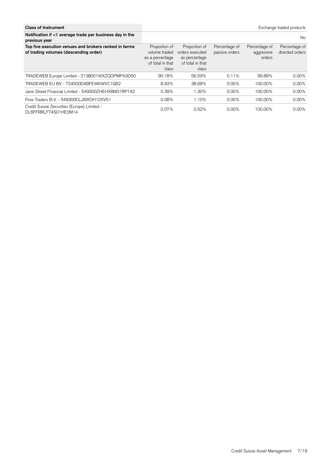| <b>Class of Instrument</b>                                                                     | Exchange traded products                                                       |                                                                                |                                 |                                       |                                  |
|------------------------------------------------------------------------------------------------|--------------------------------------------------------------------------------|--------------------------------------------------------------------------------|---------------------------------|---------------------------------------|----------------------------------|
| Notification if <1 average trade per business day in the<br>previous year                      |                                                                                |                                                                                |                                 |                                       | <b>No</b>                        |
| Top five execution venues and brokers ranked in terms<br>of trading volumes (descending order) | Proportion of<br>volume traded<br>as a percentage<br>of total in that<br>class | Proportion of<br>orders executed<br>as percentage<br>of total in that<br>class | Percentage of<br>passive orders | Percentage of<br>aggressive<br>orders | Percentage of<br>directed orders |
| TRADEWEB Europe Limited - 2138001WXZQOPMPA3D50                                                 | 90.18%                                                                         | 56.59%                                                                         | 0.11%                           | 99.89%                                | $0.00\%$                         |
| TRADEWEB EU BV - 724500D4BFEWKWVC1G62                                                          | 8.93%                                                                          | 38.68%                                                                         | $0.00\%$                        | 100.00%                               | $0.00\%$                         |
| Jane Street Financial Limited - 549300ZHEHX8M31RP142                                           | 0.39%                                                                          | 1.30%                                                                          | $0.00\%$                        | 100.00%                               | $0.00\%$                         |
| Flow Traders B.V. - 549300CLJI9XDH12XV51                                                       | 0.08%                                                                          | 1.10%                                                                          | $0.00\%$                        | 100.00%                               | $0.00\%$                         |
| Credit Suisse Securities (Europe) Limited -<br>DL6FFRRLF74S01HE2M14                            | 0.07%                                                                          | 0.52%                                                                          | $0.00\%$                        | 100.00%                               | $0.00\%$                         |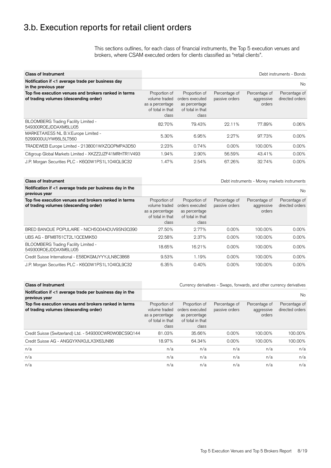#### <span id="page-7-0"></span>3.b. Execution reports for retail client orders

This sections outlines, for each class of financial instruments, the Top 5 execution venues and brokers, where CSAM executed orders for clients classified as "retail clients".

| <b>Class of Instrument</b>                                                                     | Debt instruments - Bonds                                                       |                                                                                |                                 |                                       |                                  |
|------------------------------------------------------------------------------------------------|--------------------------------------------------------------------------------|--------------------------------------------------------------------------------|---------------------------------|---------------------------------------|----------------------------------|
| Notification if <1 average trade per business day<br>in the previous year                      |                                                                                |                                                                                |                                 |                                       | No.                              |
| Top five execution venues and brokers ranked in terms<br>of trading volumes (descending order) | Proportion of<br>volume traded<br>as a percentage<br>of total in that<br>class | Proportion of<br>orders executed<br>as percentage<br>of total in that<br>class | Percentage of<br>passive orders | Percentage of<br>aggressive<br>orders | Percentage of<br>directed orders |
| BLOOMBERG Trading Facility Limited -<br>549300ROEJDDAXM6LU05                                   | 82.70%                                                                         | 79.43%                                                                         | 22.11%                          | 77.89%                                | $0.06\%$                         |
| MARKETAXESS NL B.V.Europe Limited -<br>5299000UUYW66L5LT560                                    | 5.30%                                                                          | 6.95%                                                                          | 2.27%                           | 97.73%                                | $0.00\%$                         |
| TRADEWEB Europe Limited - 2138001WXZQOPMPA3D50                                                 | 2.23%                                                                          | 0.74%                                                                          | $0.00\%$                        | 100.00%                               | $0.00\%$                         |
| Citigroup Global Markets Limited - XKZZ2JZF41MRHTR1V493                                        | 1.94%                                                                          | 2.90%                                                                          | 56.59%                          | 43.41%                                | $0.00\%$                         |
| J.P. Morgan Securities PLC - K6Q0W1PS1L104IQL9C32                                              | 1.47%                                                                          | 2.54%                                                                          | 67.26%                          | 32.74%                                | $0.00\%$                         |

| <b>Class of Instrument</b>                                                                     | Debt instruments - Money markets instruments                                   |                                                                                |                                 |                                       |                                  |
|------------------------------------------------------------------------------------------------|--------------------------------------------------------------------------------|--------------------------------------------------------------------------------|---------------------------------|---------------------------------------|----------------------------------|
| Notification if <1 average trade per business day in the<br>previous year                      |                                                                                |                                                                                |                                 |                                       | No.                              |
| Top five execution venues and brokers ranked in terms<br>of trading volumes (descending order) | Proportion of<br>volume traded<br>as a percentage<br>of total in that<br>class | Proportion of<br>orders executed<br>as percentage<br>of total in that<br>class | Percentage of<br>passive orders | Percentage of<br>aggressive<br>orders | Percentage of<br>directed orders |
| BRED BANQUE POPULAIRE - NICH5Q04ADUV9SN3Q390                                                   | 27.50%                                                                         | 2.77%                                                                          | $0.00\%$                        | 100.00%                               | $0.00\%$                         |
| UBS AG - BFM8T61CT2L1QCEMIK50                                                                  | 22.58%                                                                         | 2.37%                                                                          | 0.00%                           | 100.00%                               | $0.00\%$                         |
| BLOOMBERG Trading Facility Limited -<br>549300ROEJDDAXM6LU05                                   | 18.65%                                                                         | 16.21%                                                                         | $0.00\%$                        | 100.00%                               | $0.00\%$                         |
| Credit Suisse International - E58DKGMJYYYJLN8C3868                                             | 9.53%                                                                          | 1.19%                                                                          | $0.00\%$                        | 100.00%                               | $0.00\%$                         |
| J.P. Morgan Securities PLC - K6Q0W1PS1L104IQL9C32                                              | 6.35%                                                                          | 0.40%                                                                          | $0.00\%$                        | 100.00%                               | $0.00\%$                         |

| <b>Class of Instrument</b>                                                                     | Currency derivatives - Swaps, forwards, and other currency derivatives         |                                                                                |                                 |                                       |                                  |
|------------------------------------------------------------------------------------------------|--------------------------------------------------------------------------------|--------------------------------------------------------------------------------|---------------------------------|---------------------------------------|----------------------------------|
| Notification if <1 average trade per business day in the<br>previous year                      |                                                                                |                                                                                |                                 |                                       | No.                              |
| Top five execution venues and brokers ranked in terms<br>of trading volumes (descending order) | Proportion of<br>volume traded<br>as a percentage<br>of total in that<br>class | Proportion of<br>orders executed<br>as percentage<br>of total in that<br>class | Percentage of<br>passive orders | Percentage of<br>aggressive<br>orders | Percentage of<br>directed orders |
| Credit Suisse (Switzerland) Ltd. - 549300CWR0W0BCS9Q144                                        | 81.03%                                                                         | 35.66%                                                                         | $0.00\%$                        | 100.00%                               | 100.00%                          |
| Credit Suisse AG - ANGGYXNX0JLX3X63JN86                                                        | 18.97%                                                                         | 64.34%                                                                         | $0.00\%$                        | 100.00%                               | 100.00%                          |
| n/a                                                                                            | n/a                                                                            | n/a                                                                            | n/a                             | n/a                                   | n/a                              |
| n/a                                                                                            | n/a                                                                            | n/a                                                                            | n/a                             | n/a                                   | n/a                              |
| n/a                                                                                            | n/a                                                                            | n/a                                                                            | n/a                             | n/a                                   | n/a                              |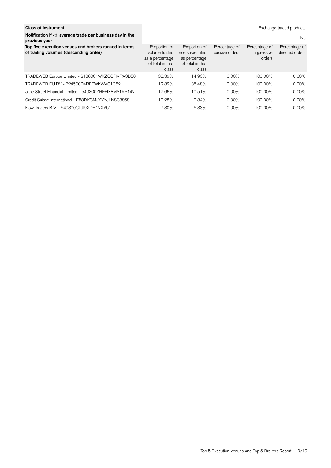| <b>Class of Instrument</b>                                                                     | Exchange traded products                                                       |                                                                                |                                 |                                       |                                  |
|------------------------------------------------------------------------------------------------|--------------------------------------------------------------------------------|--------------------------------------------------------------------------------|---------------------------------|---------------------------------------|----------------------------------|
| Notification if <1 average trade per business day in the<br>previous year                      |                                                                                |                                                                                |                                 |                                       | N <sub>o</sub>                   |
| Top five execution venues and brokers ranked in terms<br>of trading volumes (descending order) | Proportion of<br>volume traded<br>as a percentage<br>of total in that<br>class | Proportion of<br>orders executed<br>as percentage<br>of total in that<br>class | Percentage of<br>passive orders | Percentage of<br>aggressive<br>orders | Percentage of<br>directed orders |
| TRADEWEB Europe Limited - 2138001WXZQOPMPA3D50                                                 | 33.39%                                                                         | 14.93%                                                                         | $0.00\%$                        | 100.00%                               | $0.00\%$                         |
| TRADEWEB EU BV - 724500D4BFEWKWVC1G62                                                          | 12.82%                                                                         | 35.48%                                                                         | $0.00\%$                        | 100.00%                               | $0.00\%$                         |
| Jane Street Financial Limited - 549300ZHEHX8M31RP142                                           | 12.66%                                                                         | 10.51%                                                                         | $0.00\%$                        | 100.00%                               | $0.00\%$                         |
| Credit Suisse International - E58DKGMJYYYJLN8C3868                                             | 10.28%                                                                         | 0.84%                                                                          | $0.00\%$                        | 100.00%                               | $0.00\%$                         |
| Flow Traders B.V. - 549300CLJI9XDH12XV51                                                       | 7.30%                                                                          | 6.33%                                                                          | $0.00\%$                        | 100.00%                               | $0.00\%$                         |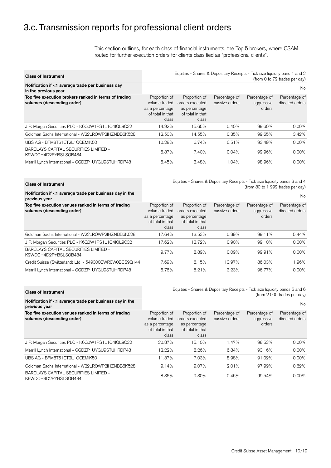#### <span id="page-9-0"></span>3.c. Transmission reports for professional client orders

This section outlines, for each class of financial instruments, the Top 5 brokers, where CSAM routed for further execution orders for clients classified as "professional clients".

| <b>Class of Instrument</b>                                                          | Equities - Shares & Depositary Receipts - Tick size liquidity band 1 and 2<br>(from 0 to 79 trades per day) |                                                                                |                                 |                                       |                                  |
|-------------------------------------------------------------------------------------|-------------------------------------------------------------------------------------------------------------|--------------------------------------------------------------------------------|---------------------------------|---------------------------------------|----------------------------------|
| Notification if <1 average trade per business day<br>in the previous year           |                                                                                                             |                                                                                |                                 |                                       | No.                              |
| Top five execution brokers ranked in terms of trading<br>volumes (descending order) | Proportion of<br>volume traded<br>as a percentage<br>of total in that<br>class                              | Proportion of<br>orders executed<br>as percentage<br>of total in that<br>class | Percentage of<br>passive orders | Percentage of<br>aggressive<br>orders | Percentage of<br>directed orders |
| J.P. Morgan Securities PLC - K6Q0W1PS1L104IQL9C32                                   | 14.92%                                                                                                      | 15.65%                                                                         | 0.40%                           | 99.60%                                | $0.00\%$                         |
| Goldman Sachs International - W22LROWP2IHZNBB6K528                                  | 12.50%                                                                                                      | 14.55%                                                                         | 0.35%                           | 99.65%                                | 3.42%                            |
| UBS AG - BFM8T61CT2L1QCEMIK50                                                       | 10.28%                                                                                                      | 6.74%                                                                          | 6.51%                           | 93.49%                                | 0.00%                            |
| <b>BARCLAYS CAPITAL SECURITIES LIMITED -</b><br>K9WDOH4D2PYBSLSOB484                | 6.87%                                                                                                       | 7.40%                                                                          | 0.04%                           | 99.96%                                | $0.00\%$                         |
| Merrill Lynch International - GGDZP1UYGU9STUHRDP48                                  | 6.45%                                                                                                       | 3.48%                                                                          | 1.04%                           | 98.96%                                | $0.00\%$                         |

| <b>Class of Instrument</b>                                                         | Equities - Shares & Depositary Receipts - Tick size liquidity bands 3 and 4<br>(from 80 to 1 999 trades per day) |                                                                                |                                 |                                       |                                  |
|------------------------------------------------------------------------------------|------------------------------------------------------------------------------------------------------------------|--------------------------------------------------------------------------------|---------------------------------|---------------------------------------|----------------------------------|
| Notification if <1 average trade per business day in the<br>previous year          |                                                                                                                  |                                                                                |                                 |                                       | N <sub>o</sub>                   |
| Top five execution venues ranked in terms of trading<br>volumes (descending order) | Proportion of<br>volume traded<br>as a percentage<br>of total in that<br>class                                   | Proportion of<br>orders executed<br>as percentage<br>of total in that<br>class | Percentage of<br>passive orders | Percentage of<br>aggressive<br>orders | Percentage of<br>directed orders |
| Goldman Sachs International - W22LROWP2IHZNBB6K528                                 | 17.64%                                                                                                           | 13.53%                                                                         | 0.89%                           | 99.11%                                | 5.44%                            |
| J.P. Morgan Securities PLC - K6Q0W1PS1L104IQL9C32                                  | 17.62%                                                                                                           | 13.72%                                                                         | 0.90%                           | 99.10%                                | $0.00\%$                         |
| <b>BARCLAYS CAPITAL SECURITIES LIMITED -</b><br>K9WDOH4D2PYBSLSOB484               | 9.77%                                                                                                            | 8.89%                                                                          | 0.09%                           | 99.91%                                | $0.00\%$                         |
| Credit Suisse (Switzerland) Ltd. - 549300CWR0W0BCS9Q144                            | 7.69%                                                                                                            | 6.15%                                                                          | 13.97%                          | 86.03%                                | 11.96%                           |
| Merrill Lynch International - GGDZP1UYGU9STUHRDP48                                 | 6.76%                                                                                                            | 5.21%                                                                          | 3.23%                           | 96.77%                                | $0.00\%$                         |

| <b>Class of Instrument</b>                                                         | Equities - Shares & Depositary Receipts - Tick size liquidity bands 5 and 6<br>(from 2 000 trades per day) |                                                                                |                                 |                                       |                                  |
|------------------------------------------------------------------------------------|------------------------------------------------------------------------------------------------------------|--------------------------------------------------------------------------------|---------------------------------|---------------------------------------|----------------------------------|
| Notification if <1 average trade per business day in the<br>previous year          |                                                                                                            |                                                                                |                                 |                                       | No                               |
| Top five execution venues ranked in terms of trading<br>volumes (descending order) | Proportion of<br>volume traded<br>as a percentage<br>of total in that<br>class                             | Proportion of<br>orders executed<br>as percentage<br>of total in that<br>class | Percentage of<br>passive orders | Percentage of<br>aggressive<br>orders | Percentage of<br>directed orders |
| J.P. Morgan Securities PLC - K6Q0W1PS1L104IQL9C32                                  | 20.87%                                                                                                     | 15.10%                                                                         | 1.47%                           | 98.53%                                | $0.00\%$                         |
| Merrill Lynch International - GGDZP1UYGU9STUHRDP48                                 | 12.22%                                                                                                     | 8.26%                                                                          | 6.84%                           | 93.16%                                | 0.00%                            |
| UBS AG - BFM8T61CT2L1QCEMIK50                                                      | 11.37%                                                                                                     | 7.03%                                                                          | 8.98%                           | 91.02%                                | $0.00\%$                         |
| Goldman Sachs International - W22LROWP2IHZNBB6K528                                 | 9.14%                                                                                                      | 9.07%                                                                          | 2.01%                           | 97.99%                                | 0.62%                            |
| BARCLAYS CAPITAL SECURITIES LIMITED -<br>K9WDOH4D2PYBSLSOB484                      | 8.36%                                                                                                      | 9.30%                                                                          | 0.46%                           | 99.54%                                | $0.00\%$                         |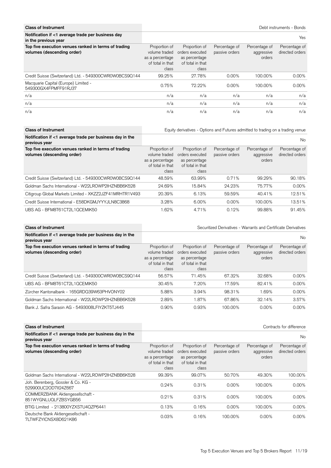| <b>Class of Instrument</b>                                                         | Debt instruments - Bonds                                                       |                                                                                |                                 |                                       |                                  |
|------------------------------------------------------------------------------------|--------------------------------------------------------------------------------|--------------------------------------------------------------------------------|---------------------------------|---------------------------------------|----------------------------------|
| Notification if <1 average trade per business day<br>in the previous year          |                                                                                |                                                                                |                                 |                                       | Yes                              |
| Top five execution venues ranked in terms of trading<br>volumes (descending order) | Proportion of<br>volume traded<br>as a percentage<br>of total in that<br>class | Proportion of<br>orders executed<br>as percentage<br>of total in that<br>class | Percentage of<br>passive orders | Percentage of<br>aggressive<br>orders | Percentage of<br>directed orders |
| Credit Suisse (Switzerland) Ltd. - 549300CWR0W0BCS9Q144                            | 99.25%                                                                         | 27.78%                                                                         | $0.00\%$                        | 100.00%                               | $0.00\%$                         |
| Macquarie Capital (Europe) Limited -<br>549300GX4FPMFF91RJ37                       | 0.75%                                                                          | 72.22%                                                                         | $0.00\%$                        | 100.00%                               | $0.00\%$                         |
| n/a                                                                                | n/a                                                                            | n/a                                                                            | n/a                             | n/a                                   | n/a                              |
| n/a                                                                                | n/a                                                                            | n/a                                                                            | n/a                             | n/a                                   | n/a                              |
| n/a                                                                                | n/a                                                                            | n/a                                                                            | n/a                             | n/a                                   | n/a                              |

| <b>Class of Instrument</b>                                                         | Equity derivatives - Options and Futures admitted to trading on a trading venue |                                                                                |                                 |                                       |                                  |
|------------------------------------------------------------------------------------|---------------------------------------------------------------------------------|--------------------------------------------------------------------------------|---------------------------------|---------------------------------------|----------------------------------|
| Notification if <1 average trade per business day in the<br>previous year          |                                                                                 |                                                                                |                                 |                                       | No.                              |
| Top five execution venues ranked in terms of trading<br>volumes (descending order) | Proportion of<br>volume traded<br>as a percentage<br>of total in that<br>class  | Proportion of<br>orders executed<br>as percentage<br>of total in that<br>class | Percentage of<br>passive orders | Percentage of<br>aggressive<br>orders | Percentage of<br>directed orders |
| Credit Suisse (Switzerland) Ltd. - 549300CWR0W0BCS9Q144                            | 48.59%                                                                          | 63.99%                                                                         | 0.71%                           | 99.29%                                | 90.18%                           |
| Goldman Sachs International - W22LROWP2IHZNBB6K528                                 | 24.69%                                                                          | 15.84%                                                                         | 24.23%                          | 75.77%                                | $0.00\%$                         |
| Citigroup Global Markets Limited - XKZZ2JZF41MRHTR1V493                            | 20.39%                                                                          | 6.13%                                                                          | 59.59%                          | 40.41%                                | 12.51%                           |
| Credit Suisse International - E58DKGMJYYYJLN8C3868                                 | 3.28%                                                                           | 6.00%                                                                          | $0.00\%$                        | 100.00%                               | 13.51%                           |
| UBS AG - BFM8T61CT2L1QCEMIK50                                                      | 1.62%                                                                           | 4.71%                                                                          | 0.12%                           | 99.88%                                | 91.45%                           |

| <b>Class of Instrument</b>                                                         | Securitized Derivatives - Warrants and Certificate Derivatives                 |                                                                                |                                 |                                       |                                  |
|------------------------------------------------------------------------------------|--------------------------------------------------------------------------------|--------------------------------------------------------------------------------|---------------------------------|---------------------------------------|----------------------------------|
| Notification if <1 average trade per business day in the<br>previous year          |                                                                                |                                                                                |                                 |                                       | No.                              |
| Top five execution venues ranked in terms of trading<br>volumes (descending order) | Proportion of<br>volume traded<br>as a percentage<br>of total in that<br>class | Proportion of<br>orders executed<br>as percentage<br>of total in that<br>class | Percentage of<br>passive orders | Percentage of<br>aggressive<br>orders | Percentage of<br>directed orders |
| Credit Suisse (Switzerland) Ltd. - 549300CWR0W0BCS9Q144                            | 56.57%                                                                         | 71.45%                                                                         | 67.32%                          | 32.68%                                | $0.00\%$                         |
| UBS AG - BEM8T61CT2L1QCEMIK50                                                      | 30.45%                                                                         | 7.20%                                                                          | 17.59%                          | 82.41%                                | $0.00\%$                         |
| Zürcher Kantonalbank - 165GRDQ39W63PHVONY02                                        | 5.88%                                                                          | 3.94%                                                                          | 98.31%                          | .69%                                  | $0.00\%$                         |
| Goldman Sachs International - W22LROWP2IHZNBB6K528                                 | 2.89%                                                                          | 1.87%                                                                          | 67.86%                          | 32.14%                                | 3.57%                            |
| Bank J. Safra Sarasin AG - 5493008LFIYZKT5TJ445                                    | $0.90\%$                                                                       | 0.93%                                                                          | 100.00%                         | $0.00\%$                              | $0.00\%$                         |

| <b>Class of Instrument</b>                                                         | Contracts for difference                                                       |                                                                                |                                 |                                       |                                  |
|------------------------------------------------------------------------------------|--------------------------------------------------------------------------------|--------------------------------------------------------------------------------|---------------------------------|---------------------------------------|----------------------------------|
| Notification if <1 average trade per business day in the<br>previous year          |                                                                                |                                                                                |                                 |                                       | No.                              |
| Top five execution venues ranked in terms of trading<br>volumes (descending order) | Proportion of<br>volume traded<br>as a percentage<br>of total in that<br>class | Proportion of<br>orders executed<br>as percentage<br>of total in that<br>class | Percentage of<br>passive orders | Percentage of<br>aggressive<br>orders | Percentage of<br>directed orders |
| Goldman Sachs International - W22LROWP2IHZNBB6K528                                 | 99.39%                                                                         | 99.07%                                                                         | 50.70%                          | 49.30%                                | 100.00%                          |
| Joh. Berenberg, Gossler & Co. KG -<br>529900UC2OD7II24Z667                         | 0.24%                                                                          | 0.31%                                                                          | $0.00\%$                        | 100.00%                               | $0.00\%$                         |
| COMMERZBANK Aktiengesellschaft -<br>851WYGNLUQLFZBSYGB56                           | 0.21%                                                                          | 0.31%                                                                          | $0.00\%$                        | 100.00%                               | $0.00\%$                         |
| BTIG Limited - 213800YZXS7U40ZP6441                                                | 0.13%                                                                          | 0.16%                                                                          | 0.00%                           | 100.00%                               | $0.00\%$                         |
| Deutsche Bank Aktiengesellschaft -<br>7LTWFZYICNSX8D621K86                         | 0.03%                                                                          | 0.16%                                                                          | 100.00%                         | $0.00\%$                              | $0.00\%$                         |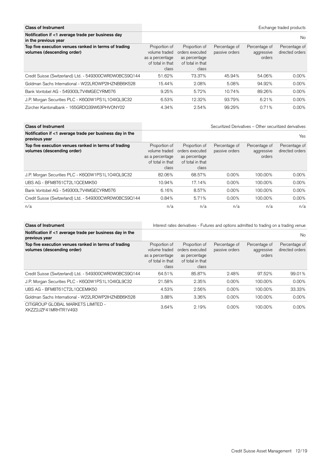| <b>Class of Instrument</b>                                                         | Exchange traded products                                                       |                                                                                |                                 |                                       |                                  |
|------------------------------------------------------------------------------------|--------------------------------------------------------------------------------|--------------------------------------------------------------------------------|---------------------------------|---------------------------------------|----------------------------------|
| Notification if <1 average trade per business day<br>in the previous year          |                                                                                |                                                                                |                                 |                                       | No                               |
| Top five execution venues ranked in terms of trading<br>volumes (descending order) | Proportion of<br>volume traded<br>as a percentage<br>of total in that<br>class | Proportion of<br>orders executed<br>as percentage<br>of total in that<br>class | Percentage of<br>passive orders | Percentage of<br>aggressive<br>orders | Percentage of<br>directed orders |
| Credit Suisse (Switzerland) Ltd. - 549300CWR0W0BCS9Q144                            | 51.62%                                                                         | 73.37%                                                                         | 45.94%                          | 54.06%                                | $0.00\%$                         |
| Goldman Sachs International - W22LROWP2IHZNBB6K528                                 | 15.44%                                                                         | 2.08%                                                                          | 5.08%                           | 94.92%                                | $0.00\%$                         |
| Bank Vontobel AG - 549300L7V4MGECYRM576                                            | 9.25%                                                                          | 5.72%                                                                          | 10.74%                          | 89.26%                                | $0.00\%$                         |
| J.P. Morgan Securities PLC - K6Q0W1PS1L104IQL9C32                                  | 6.53%                                                                          | 12.32%                                                                         | 93.79%                          | 6.21%                                 | 0.00%                            |
| Zürcher Kantonalbank - 165GRDQ39W63PHVONY02                                        | 4.34%                                                                          | 2.54%                                                                          | 99.29%                          | 0.71%                                 | $0.00\%$                         |

| <b>Class of Instrument</b>                                                         | Securitized Derivatives - Other securitized derivatives                        |                                                                                |                                 |                                       |                                  |
|------------------------------------------------------------------------------------|--------------------------------------------------------------------------------|--------------------------------------------------------------------------------|---------------------------------|---------------------------------------|----------------------------------|
| Notification if <1 average trade per business day in the<br>previous year          |                                                                                |                                                                                |                                 |                                       | Yes                              |
| Top five execution venues ranked in terms of trading<br>volumes (descending order) | Proportion of<br>volume traded<br>as a percentage<br>of total in that<br>class | Proportion of<br>orders executed<br>as percentage<br>of total in that<br>class | Percentage of<br>passive orders | Percentage of<br>aggressive<br>orders | Percentage of<br>directed orders |
| J.P. Morgan Securities PLC - K6Q0W1PS1L104IQL9C32                                  | 82.06%                                                                         | 68.57%                                                                         | $0.00\%$                        | 100.00%                               | 0.00%                            |
| UBS AG - BFM8T61CT2L1QCEMIK50                                                      | 10.94%                                                                         | 17.14%                                                                         | $0.00\%$                        | 100.00%                               | 0.00%                            |
| Bank Vontobel AG - 549300L7V4MGECYRM576                                            | 6.16%                                                                          | 8.57%                                                                          | 0.00%                           | 100.00%                               | 0.00%                            |
| Credit Suisse (Switzerland) Ltd. - 549300CWR0W0BCS9Q144                            | 0.84%                                                                          | 5.71%                                                                          | $0.00\%$                        | 100.00%                               | 0.00%                            |
| n/a                                                                                | n/a                                                                            | n/a                                                                            | n/a                             | n/a                                   | n/a                              |

| <b>Class of Instrument</b>                                                         | Interest rates derivatives - Futures and options admitted to trading on a trading venue |                                                                                |                                 |                                       |                                  |
|------------------------------------------------------------------------------------|-----------------------------------------------------------------------------------------|--------------------------------------------------------------------------------|---------------------------------|---------------------------------------|----------------------------------|
| Notification if <1 average trade per business day in the<br>previous year          |                                                                                         |                                                                                |                                 |                                       | No                               |
| Top five execution venues ranked in terms of trading<br>volumes (descending order) | Proportion of<br>volume traded<br>as a percentage<br>of total in that<br>class          | Proportion of<br>orders executed<br>as percentage<br>of total in that<br>class | Percentage of<br>passive orders | Percentage of<br>aggressive<br>orders | Percentage of<br>directed orders |
| Credit Suisse (Switzerland) Ltd. - 549300CWR0W0BCS9Q144                            | 64.51%                                                                                  | 85.87%                                                                         | 2.48%                           | 97.52%                                | 99.01%                           |
| J.P. Morgan Securities PLC - K6Q0W1PS1L104IQL9C32                                  | 21.58%                                                                                  | 2.35%                                                                          | $0.00\%$                        | 100.00%                               | $0.00\%$                         |
| UBS AG - BFM8T61CT2L1QCEMIK50                                                      | 4.53%                                                                                   | 2.56%                                                                          | $0.00\%$                        | 100.00%                               | 33.33%                           |
| Goldman Sachs International - W22LROWP2IHZNBB6K528                                 | 3.88%                                                                                   | 3.36%                                                                          | $0.00\%$                        | 100.00%                               | 0.00%                            |
| CITIGROUP GLOBAL MARKETS LIMITED -<br>XKZZ2JZF41MRHTR1V493                         | 3.64%                                                                                   | 2.19%                                                                          | $0.00\%$                        | 100.00%                               | $0.00\%$                         |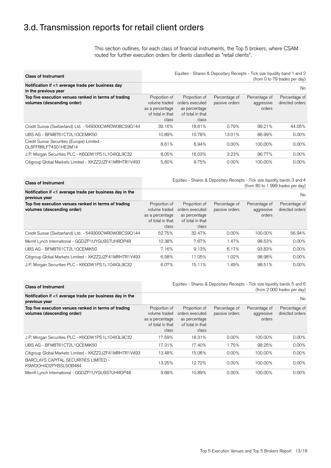#### <span id="page-12-0"></span>3.d. Transmission reports for retail client orders

This section outlines, for each class of financial instruments, the Top 5 brokers, where CSAM routed for further execution orders for clients classified as "retail clients".

| <b>Class of Instrument</b>                                                         | Equities - Shares & Depositary Receipts - Tick size liquidity band 1 and 2<br>(from 0 to 79 trades per day) |                                                                                |                                 |                                       |                                  |
|------------------------------------------------------------------------------------|-------------------------------------------------------------------------------------------------------------|--------------------------------------------------------------------------------|---------------------------------|---------------------------------------|----------------------------------|
| Notification if <1 average trade per business day<br>in the previous year          |                                                                                                             |                                                                                |                                 |                                       | <b>No</b>                        |
| Top five execution venues ranked in terms of trading<br>volumes (descending order) | Proportion of<br>volume traded<br>as a percentage<br>of total in that<br>class                              | Proportion of<br>orders executed<br>as percentage<br>of total in that<br>class | Percentage of<br>passive orders | Percentage of<br>aggressive<br>orders | Percentage of<br>directed orders |
| Credit Suisse (Switzerland) Ltd. - 549300CWR0W0BCS9Q144                            | 39.16%                                                                                                      | 18.61%                                                                         | 0.79%                           | 99.21%                                | 44.05%                           |
| UBS AG - BFM8T61CT2L1QCEMIK50                                                      | 10.89%                                                                                                      | 10.78%                                                                         | 13.01%                          | 86.99%                                | $0.00\%$                         |
| Credit Suisse Securities (Europe) Limited -<br>DL6FFRRLF74S01HE2M14                | 8.61%                                                                                                       | 6.94%                                                                          | $0.00\%$                        | 100.00%                               | $0.00\%$                         |
| J.P. Morgan Securities PLC - K6Q0W1PS1L104IQL9C32                                  | 8.05%                                                                                                       | 16.03%                                                                         | 3.23%                           | 96.77%                                | $0.00\%$                         |
| Citigroup Global Markets Limited - XKZZ2JZF41MRHTR1V493                            | 5.60%                                                                                                       | 9.75%                                                                          | $0.00\%$                        | 100.00%                               | $0.00\%$                         |

| <b>Class of Instrument</b>                                                         | Equities - Shares & Depositary Receipts - Tick size liquidity bands 3 and 4<br>(from 80 to 1 999 trades per day) |                                                                                |                                 |                                       |                                  |
|------------------------------------------------------------------------------------|------------------------------------------------------------------------------------------------------------------|--------------------------------------------------------------------------------|---------------------------------|---------------------------------------|----------------------------------|
| Notification if <1 average trade per business day in the<br>previous year          |                                                                                                                  |                                                                                |                                 |                                       | No.                              |
| Top five execution venues ranked in terms of trading<br>volumes (descending order) | Proportion of<br>volume traded<br>as a percentage<br>of total in that<br>class                                   | Proportion of<br>orders executed<br>as percentage<br>of total in that<br>class | Percentage of<br>passive orders | Percentage of<br>aggressive<br>orders | Percentage of<br>directed orders |
| Credit Suisse (Switzerland) Ltd. - 549300CWR0W0BCS9Q144                            | 52.75%                                                                                                           | 32.47%                                                                         | 0.00%                           | 100.00%                               | 56.94%                           |
| Merrill Lynch International - GGDZP1UYGU9STUHRDP48                                 | 10.38%                                                                                                           | 7.67%                                                                          | 1.47%                           | 98.53%                                | $0.00\%$                         |
| UBS AG - BFM8T61CT2L1QCEMIK50                                                      | 7.16%                                                                                                            | 9.13%                                                                          | 6.17%                           | 93.83%                                | $0.00\%$                         |
| Citigroup Global Markets Limited - XKZZ2JZF41MRHTR1V493                            | 6.58%                                                                                                            | 11.05%                                                                         | 1.02%                           | 98.98%                                | $0.00\%$                         |
| J.P. Morgan Securities PLC - K6Q0W1PS1L104IQL9C32                                  | 6.07%                                                                                                            | 15.11%                                                                         | 1.49%                           | 98.51%                                | $0.00\%$                         |

| <b>Class of Instrument</b>                                                         | Equities - Shares & Depositary Receipts - Tick size liquidity bands 5 and 6<br>(from 2 000 trades per day) |                                                                                |                                 |                                       |                                  |
|------------------------------------------------------------------------------------|------------------------------------------------------------------------------------------------------------|--------------------------------------------------------------------------------|---------------------------------|---------------------------------------|----------------------------------|
| Notification if <1 average trade per business day in the<br>previous year          |                                                                                                            |                                                                                |                                 |                                       | N <sub>o</sub>                   |
| Top five execution venues ranked in terms of trading<br>volumes (descending order) | Proportion of<br>volume traded<br>as a percentage<br>of total in that<br>class                             | Proportion of<br>orders executed<br>as percentage<br>of total in that<br>class | Percentage of<br>passive orders | Percentage of<br>aggressive<br>orders | Percentage of<br>directed orders |
| J.P. Morgan Securities PLC - K6Q0W1PS1L104IQL9C32                                  | 17.59%                                                                                                     | 18.31%                                                                         | 0.00%                           | 100.00%                               | $0.00\%$                         |
| UBS AG - BFM8T61CT2L1QCEMIK50                                                      | 17.31%                                                                                                     | 17.40%                                                                         | 1.75%                           | 98.25%                                | $0.00\%$                         |
| Citigroup Global Markets Limited - XKZZ2JZF41MRHTR1V493                            | 13.48%                                                                                                     | 15.06%                                                                         | 0.00%                           | 100.00%                               | $0.00\%$                         |
| <b>BARCLAYS CAPITAL SECURITIES LIMITED -</b><br>K9WDOH4D2PYBSLSOB484               | 13.25%                                                                                                     | 12.72%                                                                         | 0.00%                           | 100.00%                               | $0.00\%$                         |
| Merrill Lynch International - GGDZP1UYGU9STUHRDP48                                 | 9.68%                                                                                                      | 10.89%                                                                         | 0.00%                           | 100.00%                               | $0.00\%$                         |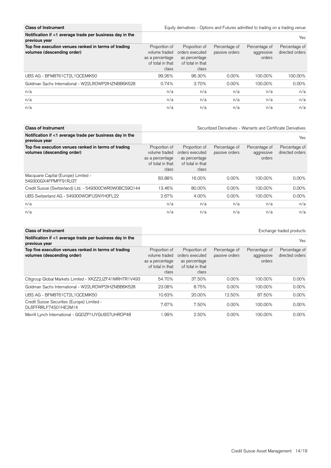**Class of Instrument Class of Instrument Equity derivatives** - Options and Futures admitted to trading on a trading venue

| Notification if <1 average trade per business day in the<br>previous year          |                                                                                |                                                                                |                                 |                                       | Yes                              |
|------------------------------------------------------------------------------------|--------------------------------------------------------------------------------|--------------------------------------------------------------------------------|---------------------------------|---------------------------------------|----------------------------------|
| Top five execution venues ranked in terms of trading<br>volumes (descending order) | Proportion of<br>volume traded<br>as a percentage<br>of total in that<br>class | Proportion of<br>orders executed<br>as percentage<br>of total in that<br>class | Percentage of<br>passive orders | Percentage of<br>aggressive<br>orders | Percentage of<br>directed orders |
| UBS AG - BEM8T61CT2L1QCEMIK50                                                      | 99.26%                                                                         | 96.30%                                                                         | $0.00\%$                        | 100.00%                               | 100.00%                          |
| Goldman Sachs International - W22LROWP2IHZNBB6K528                                 | 0.74%                                                                          | 3.70%                                                                          | $0.00\%$                        | 100.00%                               | $0.00\%$                         |
| n/a                                                                                | n/a                                                                            | n/a                                                                            | n/a                             | n/a                                   | n/a                              |
| n/a                                                                                | n/a                                                                            | n/a                                                                            | n/a                             | n/a                                   | n/a                              |
| n/a                                                                                | n/a                                                                            | n/a                                                                            | n/a                             | n/a                                   | n/a                              |

| <b>Class of Instrument</b>                                                         | Securitized Derivatives - Warrants and Certificate Derivatives                 |                                                                                |                                 |                                       |                                  |
|------------------------------------------------------------------------------------|--------------------------------------------------------------------------------|--------------------------------------------------------------------------------|---------------------------------|---------------------------------------|----------------------------------|
| Notification if <1 average trade per business day in the<br>previous year          |                                                                                |                                                                                |                                 |                                       | Yes.                             |
| Top five execution venues ranked in terms of trading<br>volumes (descending order) | Proportion of<br>volume traded<br>as a percentage<br>of total in that<br>class | Proportion of<br>orders executed<br>as percentage<br>of total in that<br>class | Percentage of<br>passive orders | Percentage of<br>aggressive<br>orders | Percentage of<br>directed orders |
| Macquarie Capital (Europe) Limited -<br>549300GX4FPMFF91RJ37                       | 83.88%                                                                         | 16.00%                                                                         | $0.00\%$                        | 100.00%                               | $0.00\%$                         |
| Credit Suisse (Switzerland) Ltd. - 549300CWR0W0BCS9Q144                            | 13.46%                                                                         | 80.00%                                                                         | $0.00\%$                        | 100.00%                               | $0.00\%$                         |
| UBS Switzerland AG - 549300WOIFUSNYH0FL22                                          | 2.67%                                                                          | 4.00%                                                                          | $0.00\%$                        | 100.00%                               | 0.00%                            |
| n/a                                                                                | n/a                                                                            | n/a                                                                            | n/a                             | n/a                                   | n/a                              |
| n/a                                                                                | n/a                                                                            | n/a                                                                            | n/a                             | n/a                                   | n/a                              |

| <b>Class of Instrument</b>                                                         | Exchange traded products                                                       |                                                                                |                                 |                                       |                                  |
|------------------------------------------------------------------------------------|--------------------------------------------------------------------------------|--------------------------------------------------------------------------------|---------------------------------|---------------------------------------|----------------------------------|
| Notification if <1 average trade per business day in the<br>previous year          |                                                                                |                                                                                |                                 |                                       | Yes                              |
| Top five execution venues ranked in terms of trading<br>volumes (descending order) | Proportion of<br>volume traded<br>as a percentage<br>of total in that<br>class | Proportion of<br>orders executed<br>as percentage<br>of total in that<br>class | Percentage of<br>passive orders | Percentage of<br>aggressive<br>orders | Percentage of<br>directed orders |
| Citigroup Global Markets Limited - XKZZ2JZF41MRHTR1V493                            | 54.70%                                                                         | 37.50%                                                                         | $0.00\%$                        | 100.00%                               | $0.00\%$                         |
| Goldman Sachs International - W22LROWP2IHZNBB6K528                                 | 23.08%                                                                         | 8.75%                                                                          | $0.00\%$                        | 100.00%                               | $0.00\%$                         |
| UBS AG - BFM8T61CT2L1QCEMIK50                                                      | 10.63%                                                                         | 20.00%                                                                         | 12.50%                          | 87.50%                                | 0.00%                            |
| Credit Suisse Securities (Europe) Limited -<br>DL6FFRRLF74S01HE2M14                | 7.67%                                                                          | 7.50%                                                                          | $0.00\%$                        | 100.00%                               | $0.00\%$                         |
| Merrill Lynch International - GGDZP1UYGU9STUHRDP48                                 | .99%                                                                           | 2.50%                                                                          | 0.00%                           | 100.00%                               | $0.00\%$                         |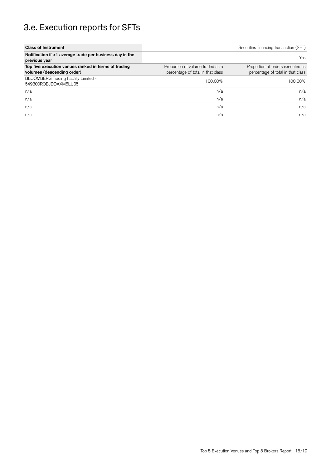### <span id="page-14-0"></span>3.e. Execution reports for SFTs

| <b>Class of Instrument</b>                                                         | Securities financing transaction (SFT)                                |                                                                       |  |
|------------------------------------------------------------------------------------|-----------------------------------------------------------------------|-----------------------------------------------------------------------|--|
| Notification if <1 average trade per business day in the<br>previous year          |                                                                       | Yes                                                                   |  |
| Top five execution venues ranked in terms of trading<br>volumes (descending order) | Proportion of volume traded as a<br>percentage of total in that class | Proportion of orders executed as<br>percentage of total in that class |  |
| BLOOMBERG Trading Facility Limited -<br>549300ROEJDDAXM6LU05                       | 100.00%                                                               | 100.00%                                                               |  |
| n/a                                                                                | n/a                                                                   | n/a                                                                   |  |
| n/a                                                                                | n/a                                                                   | n/a                                                                   |  |
| n/a                                                                                | n/a                                                                   | n/a                                                                   |  |
| n/a                                                                                | n/a                                                                   | n/a                                                                   |  |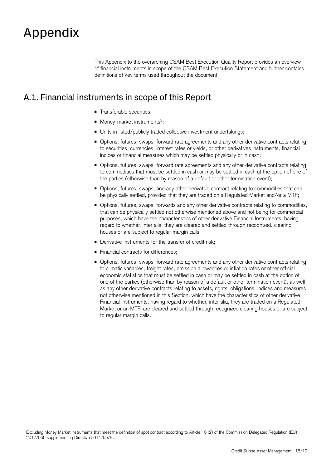This Appendix to the overarching CSAM Best Execution Quality Report provides an overview of financial instruments in scope of the CSAM Best Execution Statement and further contains definitions of key terms used throughout the document.

#### <span id="page-15-0"></span>A.1. Financial instruments in scope of this Report

- Transferable securities;
- $\blacksquare$  Money-market instruments<sup>3</sup>;
- Units in listed/publicly traded collective investment undertakings;
- Options, futures, swaps, forward rate agreements and any other derivative contracts relating to securities, currencies, interest rates or yields, or other derivatives instruments, financial indices or financial measures which may be settled physically or in cash;
- Options, futures, swaps, forward rate agreements and any other derivative contracts relating to commodities that must be settled in cash or may be settled in cash at the option of one of the parties (otherwise than by reason of a default or other termination event);
- Options, futures, swaps, and any other derivative contract relating to commodities that can be physically settled, provided that they are traded on a Regulated Market and/or a MTF;
- Options, futures, swaps, forwards and any other derivative contracts relating to commodities, that can be physically settled not otherwise mentioned above and not being for commercial purposes, which have the characteristics of other derivative Financial Instruments, having regard to whether, inter alia, they are cleared and settled through recognized. clearing houses or are subject to regular margin calls;
- Derivative instruments for the transfer of credit risk;
- Financial contracts for differences:
- Options, futures, swaps, forward rate agreements and any other derivative contracts relating to climatic variables, freight rates, emission allowances or inflation rates or other official economic statistics that must be settled in cash or may be settled in cash at the option of one of the parties (otherwise than by reason of a default or other termination event), as well as any other derivative contracts relating to assets, rights, obligations, indices and measures not otherwise mentioned in this Section, which have the characteristics of other derivative Financial Instruments, having regard to whether, inter alia, they are traded on a Regulated Market or an MTF, are cleared and settled through recognized clearing houses or are subject to regular margin calls.

<sup>3</sup> Excluding Money Market instruments that meet the definition of spot contract according to Article 10 (2) of the Commission Delegated Regulation (EU) 2017/565 supplementing Directive 2014/65/EU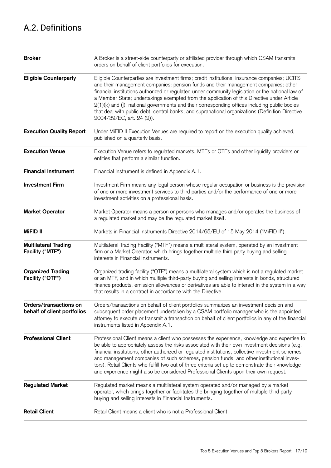### <span id="page-16-0"></span>A.2. Definitions

| <b>Broker</b>                                         | A Broker is a street-side counterparty or affiliated provider through which CSAM transmits<br>orders on behalf of client portfolios for execution.                                                                                                                                                                                                                                                                                                                                                                                                                                                                        |
|-------------------------------------------------------|---------------------------------------------------------------------------------------------------------------------------------------------------------------------------------------------------------------------------------------------------------------------------------------------------------------------------------------------------------------------------------------------------------------------------------------------------------------------------------------------------------------------------------------------------------------------------------------------------------------------------|
| <b>Eligible Counterparty</b>                          | Eligible Counterparties are investment firms; credit institutions; insurance companies; UCITS<br>and their management companies; pension funds and their management companies; other<br>financial institutions authorized or regulated under community legislation or the national law of<br>a Member State; undertakings exempted from the application of this Directive under Article<br>2(1)(k) and (l); national governments and their corresponding offices including public bodies<br>that deal with public debt; central banks; and supranational organizations (Definition Directive<br>2004/39/EC, art. 24 (2)). |
| <b>Execution Quality Report</b>                       | Under MiFID II Execution Venues are required to report on the execution quality achieved,<br>published on a quarterly basis.                                                                                                                                                                                                                                                                                                                                                                                                                                                                                              |
| <b>Execution Venue</b>                                | Execution Venue refers to regulated markets, MTFs or OTFs and other liquidity providers or<br>entities that perform a similar function.                                                                                                                                                                                                                                                                                                                                                                                                                                                                                   |
| <b>Financial instrument</b>                           | Financial Instrument is defined in Appendix A.1.                                                                                                                                                                                                                                                                                                                                                                                                                                                                                                                                                                          |
| <b>Investment Firm</b>                                | Investment Firm means any legal person whose regular occupation or business is the provision<br>of one or more investment services to third parties and/or the performance of one or more<br>investment activities on a professional basis.                                                                                                                                                                                                                                                                                                                                                                               |
| <b>Market Operator</b>                                | Market Operator means a person or persons who manages and/or operates the business of<br>a regulated market and may be the regulated market itself.                                                                                                                                                                                                                                                                                                                                                                                                                                                                       |
| <b>MiFID II</b>                                       | Markets in Financial Instruments Directive 2014/65/EU of 15 May 2014 ("MiFID II").                                                                                                                                                                                                                                                                                                                                                                                                                                                                                                                                        |
| <b>Multilateral Trading</b><br>Facility ("MTF")       | Multilateral Trading Facility ("MTF") means a multilateral system, operated by an investment<br>firm or a Market Operator, which brings together multiple third party buying and selling<br>interests in Financial Instruments.                                                                                                                                                                                                                                                                                                                                                                                           |
| <b>Organized Trading</b><br>Facility ("OTF")          | Organized trading facility ("OTF") means a multilateral system which is not a regulated market<br>or an MTF, and in which multiple third-party buying and selling interests in bonds, structured<br>finance products, emission allowances or derivatives are able to interact in the system in a way<br>that results in a contract in accordance with the Directive.                                                                                                                                                                                                                                                      |
| Orders/transactions on<br>behalf of client portfolios | Orders/transactions on behalf of client portfolios summarizes an investment decision and<br>subsequent order placement undertaken by a CSAM portfolio manager who is the appointed<br>attorney to execute or transmit a transaction on behalf of client portfolios in any of the financial<br>instruments listed in Appendix A.1.                                                                                                                                                                                                                                                                                         |
| <b>Professional Client</b>                            | Professional Client means a client who possesses the experience, knowledge and expertise to<br>be able to appropriately assess the risks associated with their own investment decisions (e.g.<br>financial institutions, other authorized or regulated institutions, collective investment schemes<br>and management companies of such schemes, pension funds, and other institutional inves-<br>tors). Retail Clients who fulfill two out of three criteria set up to demonstrate their knowledge<br>and experience might also be considered Professional Clients upon their own request.                                |
| <b>Regulated Market</b>                               | Regulated market means a multilateral system operated and/or managed by a market<br>operator, which brings together or facilitates the bringing together of multiple third party<br>buying and selling interests in Financial Instruments.                                                                                                                                                                                                                                                                                                                                                                                |
| <b>Retail Client</b>                                  | Retail Client means a client who is not a Professional Client.                                                                                                                                                                                                                                                                                                                                                                                                                                                                                                                                                            |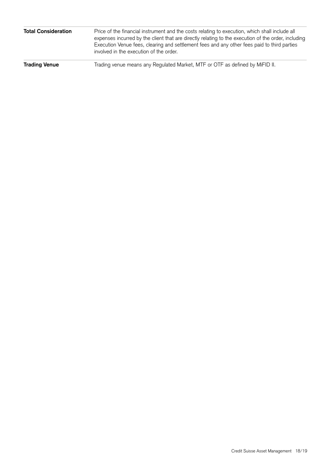| <b>Total Consideration</b> | Price of the financial instrument and the costs relating to execution, which shall include all<br>expenses incurred by the client that are directly relating to the execution of the order, including<br>Execution Venue fees, clearing and settlement fees and any other fees paid to third parties<br>involved in the execution of the order. |
|----------------------------|-------------------------------------------------------------------------------------------------------------------------------------------------------------------------------------------------------------------------------------------------------------------------------------------------------------------------------------------------|
| <b>Trading Venue</b>       | Trading venue means any Regulated Market, MTF or OTF as defined by MiFID II.                                                                                                                                                                                                                                                                    |